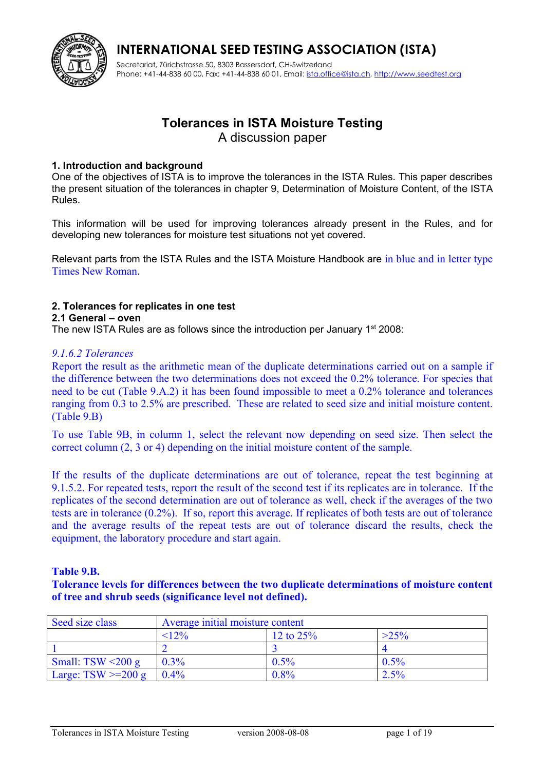

Secretariat, Zürichstrasse 50, 8303 Bassersdorf, CH-Switzerland Phone: +41-44-838 60 00, Fax: +41-44-838 60 01, Email: [ista.office@ista.ch,](mailto:ista@ista.ch) [http://www.seedtest.org](http://www.seedtest.org/)

## **Tolerances in ISTA Moisture Testing**

A discussion paper

#### **1. Introduction and background**

One of the objectives of ISTA is to improve the tolerances in the ISTA Rules. This paper describes the present situation of the tolerances in chapter 9, Determination of Moisture Content, of the ISTA Rules.

This information will be used for improving tolerances already present in the Rules, and for developing new tolerances for moisture test situations not yet covered.

Relevant parts from the ISTA Rules and the ISTA Moisture Handbook are in blue and in letter type Times New Roman.

#### **2. Tolerances for replicates in one test**

#### **2.1 General – oven**

The new ISTA Rules are as follows since the introduction per January  $1<sup>st</sup> 2008$ :

#### *9.1.6.2 Tolerances*

Report the result as the arithmetic mean of the duplicate determinations carried out on a sample if the difference between the two determinations does not exceed the 0.2% tolerance. For species that need to be cut (Table 9.A.2) it has been found impossible to meet a 0.2% tolerance and tolerances ranging from 0.3 to 2.5% are prescribed. These are related to seed size and initial moisture content. (Table 9.B)

To use Table 9B, in column 1, select the relevant now depending on seed size. Then select the correct column (2, 3 or 4) depending on the initial moisture content of the sample.

If the results of the duplicate determinations are out of tolerance, repeat the test beginning at 9.1.5.2. For repeated tests, report the result of the second test if its replicates are in tolerance. If the replicates of the second determination are out of tolerance as well, check if the averages of the two tests are in tolerance (0.2%). If so, report this average. If replicates of both tests are out of tolerance and the average results of the repeat tests are out of tolerance discard the results, check the equipment, the laboratory procedure and start again.

#### **Table 9.B.**

**Tolerance levels for differences between the two duplicate determinations of moisture content of tree and shrub seeds (significance level not defined).**

| Seed size class         | Average initial moisture content |             |         |
|-------------------------|----------------------------------|-------------|---------|
|                         | $< 12\%$                         | 12 to $25%$ | $>25\%$ |
|                         |                                  |             |         |
| Small: TSW $\leq$ 200 g | $0.3\%$                          | $0.5\%$     | 0.5%    |
| Large: $TSW = 200 g$    | $0.4\%$                          | $0.8\%$     | 2.5%    |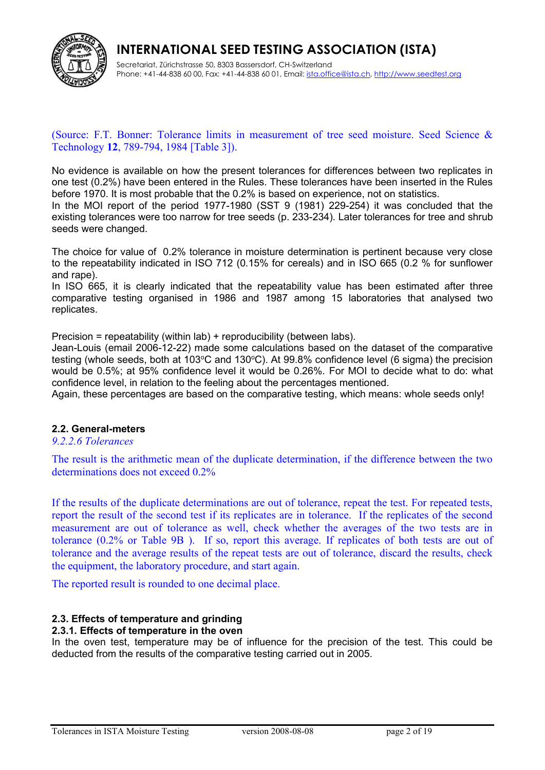

Secretariat, Zürichstrasse 50, 8303 Bassersdorf, CH-Switzerland Phone: +41-44-838 60 00, Fax: +41-44-838 60 01, Email: *ista.office@ista.ch, [http://www.seedtest.org](http://www.seedtest.org/)* 

#### (Source: F.T. Bonner: Tolerance limits in measurement of tree seed moisture. Seed Science & Technology **12**, 789-794, 1984 [Table 3]).

No evidence is available on how the present tolerances for differences between two replicates in one test (0.2%) have been entered in the Rules. These tolerances have been inserted in the Rules before 1970. It is most probable that the 0.2% is based on experience, not on statistics.

In the MOI report of the period 1977-1980 (SST 9 (1981) 229-254) it was concluded that the existing tolerances were too narrow for tree seeds (p. 233-234). Later tolerances for tree and shrub seeds were changed.

The choice for value of 0.2% tolerance in moisture determination is pertinent because very close to the repeatability indicated in ISO 712 (0.15% for cereals) and in ISO 665 (0.2 % for sunflower and rape).

In ISO 665, it is clearly indicated that the repeatability value has been estimated after three comparative testing organised in 1986 and 1987 among 15 laboratories that analysed two replicates.

Precision = repeatability (within lab) + reproducibility (between labs).

Jean-Louis (email 2006-12-22) made some calculations based on the dataset of the comparative testing (whole seeds, both at  $103^{\circ}$ C and  $130^{\circ}$ C). At 99.8% confidence level (6 sigma) the precision would be 0.5%; at 95% confidence level it would be 0.26%. For MOI to decide what to do: what confidence level, in relation to the feeling about the percentages mentioned.

Again, these percentages are based on the comparative testing, which means: whole seeds only!

#### **2.2. General-meters**

#### *9.2.2.6 Tolerances*

The result is the arithmetic mean of the duplicate determination, if the difference between the two determinations does not exceed 0.2%

If the results of the duplicate determinations are out of tolerance, repeat the test. For repeated tests, report the result of the second test if its replicates are in tolerance. If the replicates of the second measurement are out of tolerance as well, check whether the averages of the two tests are in tolerance (0.2% or Table 9B ). If so, report this average. If replicates of both tests are out of tolerance and the average results of the repeat tests are out of tolerance, discard the results, check the equipment, the laboratory procedure, and start again.

The reported result is rounded to one decimal place.

#### **2.3. Effects of temperature and grinding**

#### **2.3.1. Effects of temperature in the oven**

In the oven test, temperature may be of influence for the precision of the test. This could be deducted from the results of the comparative testing carried out in 2005.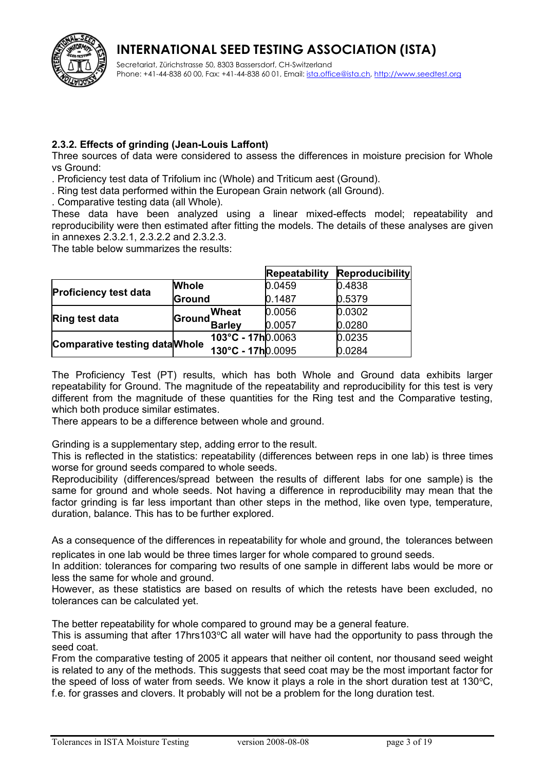



Secretariat, Zürichstrasse 50, 8303 Bassersdorf, CH-Switzerland Phone: +41-44-838 60 00, Fax: +41-44-838 60 01, Email: *ista.office@ista.ch, [http://www.seedtest.org](http://www.seedtest.org/)* 

#### **2.3.2. Effects of grinding (Jean-Louis Laffont)**

Three sources of data were considered to assess the differences in moisture precision for Whole vs Ground:

. Proficiency test data of Trifolium inc (Whole) and Triticum aest (Ground).

. Ring test data performed within the European Grain network (all Ground).

. Comparative testing data (all Whole).

These data have been analyzed using a linear mixed-effects model; repeatability and reproducibility were then estimated after fitting the models. The details of these analyses are given in annexes 2.3.2.1, 2.3.2.2 and 2.3.2.3.

The table below summarizes the results:

|                                        |              |                         | <b>Repeatability</b> | <b>Reproducibility</b> |
|----------------------------------------|--------------|-------------------------|----------------------|------------------------|
|                                        | <b>Whole</b> |                         | 0.0459               | 0.4838                 |
| <b>Proficiency test data</b><br>Ground |              |                         | 0.1487               | 0.5379                 |
|                                        |              | <b>Wheat</b>            | 0.0056               | 0.0302                 |
| <b>Ring test data</b>                  |              | <b>Ground</b><br>Barley | 0.0057               | 0.0280                 |
| <b>Comparative testing data Whole</b>  |              | 103°C - 17h0.0063       |                      | 0.0235                 |
|                                        |              | 130°C - 17h0.0095       |                      | 0.0284                 |

The Proficiency Test (PT) results, which has both Whole and Ground data exhibits larger repeatability for Ground. The magnitude of the repeatability and reproducibility for this test is very different from the magnitude of these quantities for the Ring test and the Comparative testing, which both produce similar estimates.

There appears to be a difference between whole and ground.

Grinding is a supplementary step, adding error to the result.

This is reflected in the statistics: repeatability (differences between reps in one lab) is three times worse for ground seeds compared to whole seeds.

Reproducibility (differences/spread between the results of different labs for one sample) is the same for ground and whole seeds. Not having a difference in reproducibility may mean that the factor grinding is far less important than other steps in the method, like oven type, temperature, duration, balance. This has to be further explored.

As a consequence of the differences in repeatability for whole and ground, the tolerances between replicates in one lab would be three times larger for whole compared to ground seeds.

In addition: tolerances for comparing two results of one sample in different labs would be more or less the same for whole and ground.

However, as these statistics are based on results of which the retests have been excluded, no tolerances can be calculated yet.

The better repeatability for whole compared to ground may be a general feature.

This is assuming that after 17hrs103 $\degree$ C all water will have had the opportunity to pass through the seed coat.

From the comparative testing of 2005 it appears that neither oil content, nor thousand seed weight is related to any of the methods. This suggests that seed coat may be the most important factor for the speed of loss of water from seeds. We know it plays a role in the short duration test at 130 $^{\circ}$ C, f.e. for grasses and clovers. It probably will not be a problem for the long duration test.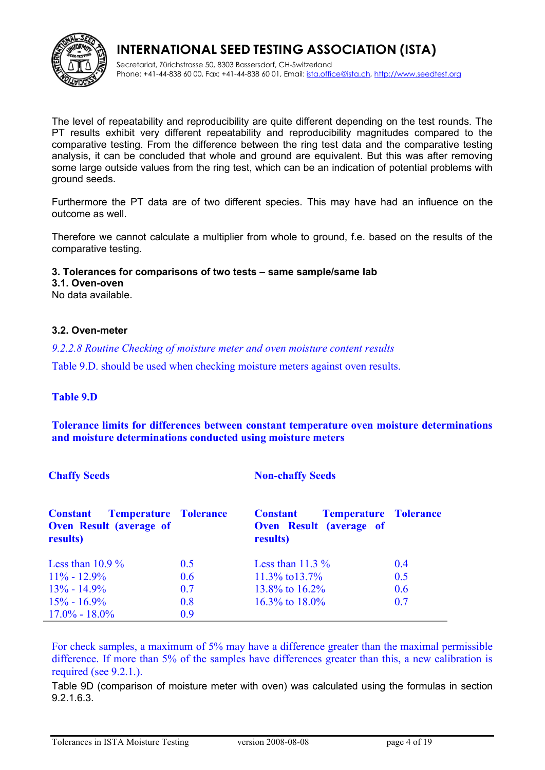

Secretariat, Zürichstrasse 50, 8303 Bassersdorf, CH-Switzerland Phone: +41-44-838 60 00, Fax: +41-44-838 60 01, Email: *ista.office@ista.ch, [http://www.seedtest.org](http://www.seedtest.org/)* 

The level of repeatability and reproducibility are quite different depending on the test rounds. The PT results exhibit very different repeatability and reproducibility magnitudes compared to the comparative testing. From the difference between the ring test data and the comparative testing analysis, it can be concluded that whole and ground are equivalent. But this was after removing some large outside values from the ring test, which can be an indication of potential problems with ground seeds.

Furthermore the PT data are of two different species. This may have had an influence on the outcome as well.

Therefore we cannot calculate a multiplier from whole to ground, f.e. based on the results of the comparative testing.

#### **3. Tolerances for comparisons of two tests – same sample/same lab**

**3.1. Oven-oven**

No data available.

#### **3.2. Oven-meter**

*9.2.2.8 Routine Checking of moisture meter and oven moisture content results*

Table 9.D. should be used when checking moisture meters against oven results.

#### **Table 9.D**

**Tolerance limits for differences between constant temperature oven moisture determinations and moisture determinations conducted using moisture meters**

#### **Chaffy Seeds Non-chaffy Seeds**

| <b>Temperature Tolerance</b><br><b>Constant</b><br><b>Oven Result (average of</b><br>results) |     | <b>Temperature Tolerance</b><br><b>Constant</b><br>Oven Result (average of<br>results) |     |
|-----------------------------------------------------------------------------------------------|-----|----------------------------------------------------------------------------------------|-----|
| Less than $10.9\%$                                                                            | 0.5 | Less than $11.3\%$                                                                     | 0.4 |
| $11\% - 12.9\%$                                                                               | 0.6 | $11.3\%$ to $13.7\%$                                                                   | 0.5 |
| $13\% - 14.9\%$                                                                               | 0.7 | 13.8% to $16.2\%$                                                                      | 0.6 |
| $15\% - 16.9\%$                                                                               | 0.8 | 16.3% to $18.0\%$                                                                      | 0.7 |
| $17.0\% - 18.0\%$                                                                             | 0.9 |                                                                                        |     |

For check samples, a maximum of 5% may have a difference greater than the maximal permissible difference. If more than 5% of the samples have differences greater than this, a new calibration is required (see 9.2.1.).

Table 9D (comparison of moisture meter with oven) was calculated using the formulas in section 9.2.1.6.3.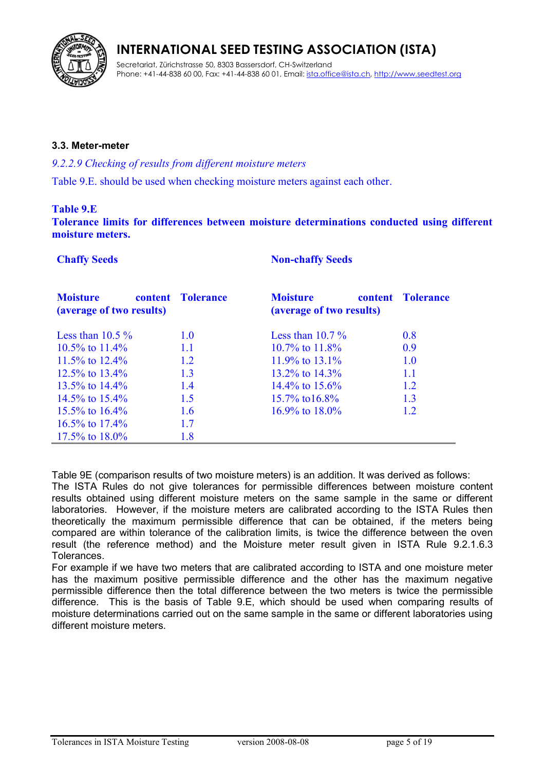

Secretariat, Zürichstrasse 50, 8303 Bassersdorf, CH-Switzerland Phone: +41-44-838 60 00, Fax: +41-44-838 60 01, Email: *ista.office@ista.ch, [http://www.seedtest.org](http://www.seedtest.org/)* 

#### **3.3. Meter-meter**

#### *9.2.2.9 Checking of results from different moisture meters*

Table 9.E. should be used when checking moisture meters against each other.

#### **Table 9.E**

**Tolerance limits for differences between moisture determinations conducted using different moisture meters.**

**Chaffy Seeds Non-chaffy Seeds** 

| <b>Moisture</b><br>(average of two results) | content Tolerance | <b>Moisture</b><br>(average of two results) | content Tolerance |
|---------------------------------------------|-------------------|---------------------------------------------|-------------------|
| Less than $10.5\%$                          | 1.0               | Less than $10.7\%$                          | 0.8               |
| 10.5\% to 11.4\%                            | 1.1               | $10.7\%$ to $11.8\%$                        | 0.9               |
| 11.5\% to 12.4\%                            | 1.2               | 11.9% to 13.1%                              | 1.0               |
| 12.5% to $13.4\%$                           | 1.3               | 13.2\% to 14.3\%                            | 1.1               |
| 13.5% to $14.4\%$                           | 1.4               | $14.4\%$ to $15.6\%$                        | 1.2               |
| 14.5\% to 15.4\%                            | 1.5               | $15.7\%$ to $16.8\%$                        | 1.3               |
| 15.5% to $16.4\%$                           | 1.6               | 16.9% to $18.0\%$                           | 1.2.              |
| 16.5% to $17.4\%$                           | 1.7               |                                             |                   |
| 17.5% to $18.0\%$                           | 1.8               |                                             |                   |

Table 9E (comparison results of two moisture meters) is an addition. It was derived as follows:

The ISTA Rules do not give tolerances for permissible differences between moisture content results obtained using different moisture meters on the same sample in the same or different laboratories. However, if the moisture meters are calibrated according to the ISTA Rules then theoretically the maximum permissible difference that can be obtained, if the meters being compared are within tolerance of the calibration limits, is twice the difference between the oven result (the reference method) and the Moisture meter result given in ISTA Rule 9.2.1.6.3 Tolerances.

For example if we have two meters that are calibrated according to ISTA and one moisture meter has the maximum positive permissible difference and the other has the maximum negative permissible difference then the total difference between the two meters is twice the permissible difference. This is the basis of Table 9.E, which should be used when comparing results of moisture determinations carried out on the same sample in the same or different laboratories using different moisture meters.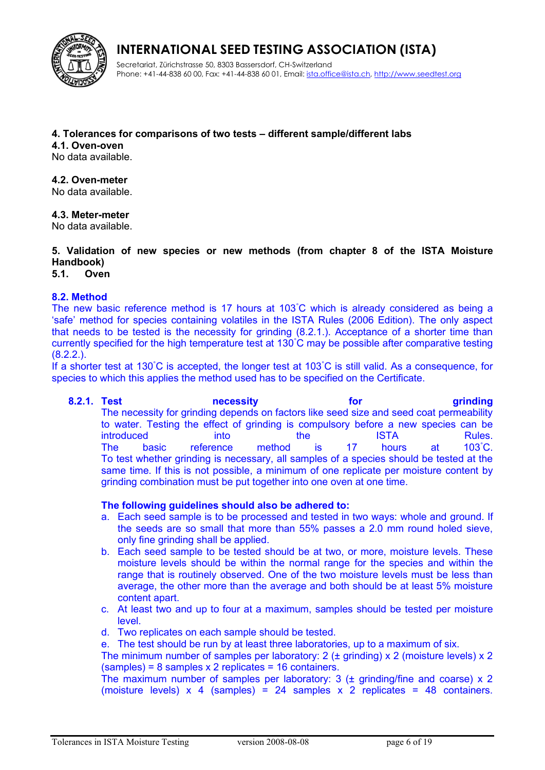

Secretariat, Zürichstrasse 50, 8303 Bassersdorf, CH-Switzerland Phone: +41-44-838 60 00, Fax: +41-44-838 60 01, Email: [ista.office@ista.ch,](mailto:ista@ista.ch) [http://www.seedtest.org](http://www.seedtest.org/)

#### **4. Tolerances for comparisons of two tests – different sample/different labs**

**4.1. Oven-oven**

No data available.

#### **4.2. Oven-meter**

No data available.

**4.3. Meter-meter**

No data available.

#### **5. Validation of new species or new methods (from chapter 8 of the ISTA Moisture Handbook)**

**5.1. Oven**

#### **8.2. Method**

The new basic reference method is 17 hours at 103°C which is already considered as being a 'safe' method for species containing volatiles in the ISTA Rules (2006 Edition). The only aspect that needs to be tested is the necessity for grinding (8.2.1.). Acceptance of a shorter time than currently specified for the high temperature test at 130°C may be possible after comparative testing (8.2.2.).

If a shorter test at 130°C is accepted, the longer test at 103°C is still valid. As a consequence, for species to which this applies the method used has to be specified on the Certificate.

**8.2.1. Test necessity for grinding** The necessity for grinding depends on factors like seed size and seed coat permeability to water. Testing the effect of grinding is compulsory before a new species can be introduced into the ISTA Rules. The basic reference method is 17 hours at 103°C. To test whether grinding is necessary, all samples of a species should be tested at the same time. If this is not possible, a minimum of one replicate per moisture content by grinding combination must be put together into one oven at one time.

#### **The following guidelines should also be adhered to:**

- a. Each seed sample is to be processed and tested in two ways: whole and ground. If the seeds are so small that more than 55% passes a 2.0 mm round holed sieve, only fine grinding shall be applied.
- b. Each seed sample to be tested should be at two, or more, moisture levels. These moisture levels should be within the normal range for the species and within the range that is routinely observed. One of the two moisture levels must be less than average, the other more than the average and both should be at least 5% moisture content apart.
- c. At least two and up to four at a maximum, samples should be tested per moisture level.
- d. Two replicates on each sample should be tested.

e. The test should be run by at least three laboratories, up to a maximum of six.

The minimum number of samples per laboratory:  $2$  ( $\pm$  grinding) x  $2$  (moisture levels) x  $2$ (samples) = 8 samples x 2 replicates = 16 containers.

The maximum number of samples per laboratory: 3  $(t$  grinding/fine and coarse)  $\times$  2 (moisture levels)  $\times$  4 (samples) = 24 samples  $\times$  2 replicates = 48 containers.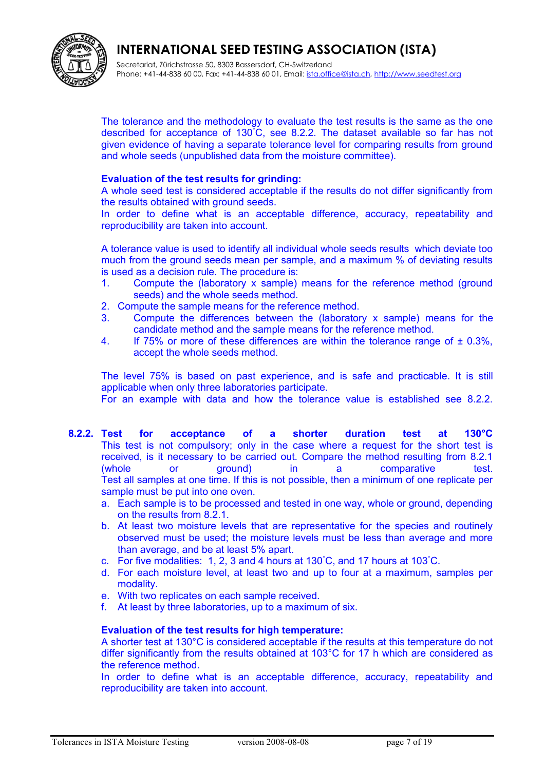

Secretariat, Zürichstrasse 50, 8303 Bassersdorf, CH-Switzerland Phone: +41-44-838 60 00, Fax: +41-44-838 60 01, Email: *ista.office@ista.ch, [http://www.seedtest.org](http://www.seedtest.org/)* 

The tolerance and the methodology to evaluate the test results is the same as the one described for acceptance of 130°C, see 8.2.2. The dataset available so far has not given evidence of having a separate tolerance level for comparing results from ground and whole seeds (unpublished data from the moisture committee).

#### **Evaluation of the test results for grinding:**

A whole seed test is considered acceptable if the results do not differ significantly from the results obtained with ground seeds.

In order to define what is an acceptable difference, accuracy, repeatability and reproducibility are taken into account.

A tolerance value is used to identify all individual whole seeds results which deviate too much from the ground seeds mean per sample, and a maximum % of deviating results is used as a decision rule. The procedure is:

- 1. Compute the (laboratory x sample) means for the reference method (ground seeds) and the whole seeds method.
- 2. Compute the sample means for the reference method.
- 3. Compute the differences between the (laboratory x sample) means for the candidate method and the sample means for the reference method.
- 4. If 75% or more of these differences are within the tolerance range of  $\pm$  0.3%, accept the whole seeds method.

The level 75% is based on past experience, and is safe and practicable. It is still applicable when only three laboratories participate.

For an example with data and how the tolerance value is established see 8.2.2.

- **8.2.2. Test for acceptance of a shorter duration test at 130°C**  This test is not compulsory; only in the case where a request for the short test is received, is it necessary to be carried out. Compare the method resulting from 8.2.1 (whole or ground) in a comparative test. Test all samples at one time. If this is not possible, then a minimum of one replicate per sample must be put into one oven.
	- a. Each sample is to be processed and tested in one way, whole or ground, depending on the results from 8.2.1.
	- b. At least two moisture levels that are representative for the species and routinely observed must be used; the moisture levels must be less than average and more than average, and be at least 5% apart.
	- c. For five modalities: 1, 2, 3 and 4 hours at 130°C, and 17 hours at 103°C.
	- d. For each moisture level, at least two and up to four at a maximum, samples per modality.
	- e. With two replicates on each sample received.
	- f. At least by three laboratories, up to a maximum of six.

#### **Evaluation of the test results for high temperature:**

A shorter test at 130°C is considered acceptable if the results at this temperature do not differ significantly from the results obtained at 103°C for 17 h which are considered as the reference method.

In order to define what is an acceptable difference, accuracy, repeatability and reproducibility are taken into account.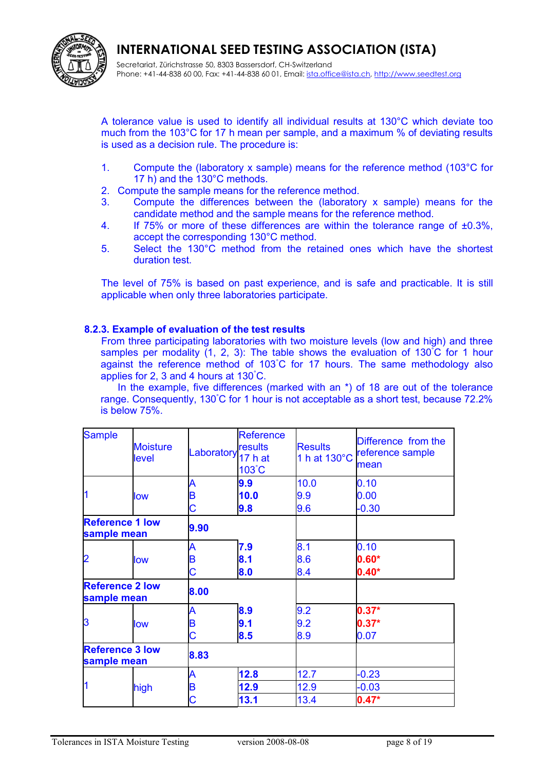

Secretariat, Zürichstrasse 50, 8303 Bassersdorf, CH-Switzerland Phone: +41-44-838 60 00, Fax: +41-44-838 60 01, Email: [ista.office@ista.ch,](mailto:ista@ista.ch) [http://www.seedtest.org](http://www.seedtest.org/)

A tolerance value is used to identify all individual results at 130°C which deviate too much from the 103°C for 17 h mean per sample, and a maximum % of deviating results is used as a decision rule. The procedure is:

- 1. Compute the (laboratory x sample) means for the reference method (103°C for 17 h) and the 130°C methods.
- 2. Compute the sample means for the reference method.
- 3. Compute the differences between the (laboratory x sample) means for the candidate method and the sample means for the reference method.
- 4. If 75% or more of these differences are within the tolerance range of  $\pm 0.3$ %, accept the corresponding 130°C method.
- 5. Select the 130°C method from the retained ones which have the shortest duration test.

The level of 75% is based on past experience, and is safe and practicable. It is still applicable when only three laboratories participate.

#### **8.2.3. Example of evaluation of the test results**

From three participating laboratories with two moisture levels (low and high) and three samples per modality  $(1, 2, 3)$ : The table shows the evaluation of  $130^{\circ}C$  for 1 hour against the reference method of 103°C for 17 hours. The same methodology also applies for 2, 3 and 4 hours at 130°C.

In the example, five differences (marked with an \*) of 18 are out of the tolerance range. Consequently, 130°C for 1 hour is not acceptable as a short test, because 72.2% is below 75%.

| <b>Sample</b>                         | <b>Moisture</b><br>level | Laboratory <sup>"22</sup> <sub>17</sub> h at | <b>Reference</b><br>results<br>103°C | <b>Results</b><br>1 h at 130°C | Difference from the<br>reference sample<br>mean |
|---------------------------------------|--------------------------|----------------------------------------------|--------------------------------------|--------------------------------|-------------------------------------------------|
|                                       |                          | A                                            | 9.9                                  | 10.0                           | 0.10                                            |
|                                       | low                      | B                                            | 10.0                                 | 9.9                            | 0.00                                            |
|                                       |                          | С                                            | 9.8                                  | 9.6                            | $-0.30$                                         |
| <b>Reference 1 low</b><br>sample mean |                          | 9.90                                         |                                      |                                |                                                 |
|                                       |                          | A                                            | 7.9                                  | 8.1                            | 0.10                                            |
| $\overline{2}$                        | low                      | B                                            | 8.1                                  | 8.6                            | $0.60*$                                         |
|                                       |                          | Ć                                            | 8.0                                  | 8.4                            | $0.40*$                                         |
| <b>Reference 2 low</b><br>sample mean |                          | 8.00                                         |                                      |                                |                                                 |
|                                       |                          | A                                            | 8.9                                  | 9.2                            | $0.37*$                                         |
| 3                                     | low                      | B                                            | 9.1                                  | 9.2                            | $0.37*$                                         |
|                                       |                          | Ć                                            | 8.5                                  | 8.9                            | 0.07                                            |
| <b>Reference 3 low</b><br>sample mean |                          | 8.83                                         |                                      |                                |                                                 |
|                                       |                          | A                                            | 12.8                                 | 12.7                           | $-0.23$                                         |
|                                       | high                     | B                                            | 12.9                                 | 12.9                           | $-0.03$                                         |
|                                       |                          | С                                            | 13.1                                 | 13.4                           | $0.47*$                                         |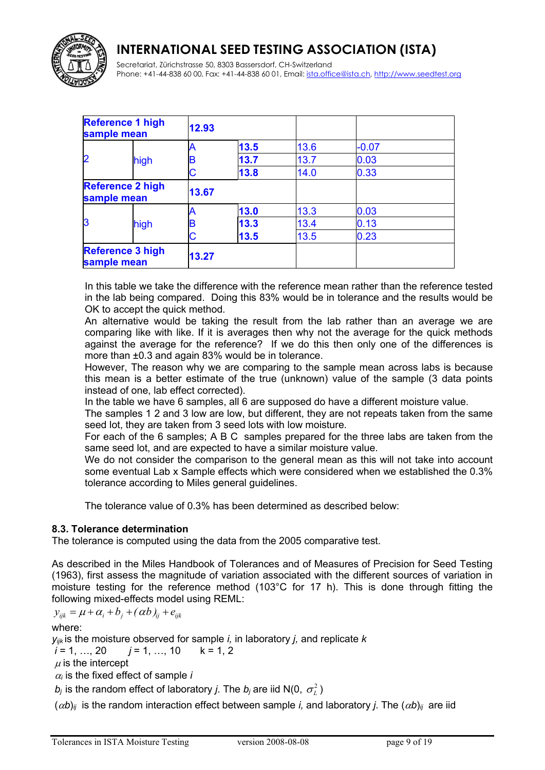

Secretariat, Zürichstrasse 50, 8303 Bassersdorf, CH-Switzerland Phone: +41-44-838 60 00, Fax: +41-44-838 60 01, Email: [ista.office@ista.ch,](mailto:ista@ista.ch) [http://www.seedtest.org](http://www.seedtest.org/)

|                | <b>Reference 1 high</b><br>sample mean | 12.93 |      |      |         |  |
|----------------|----------------------------------------|-------|------|------|---------|--|
|                |                                        | Α     | 13.5 | 13.6 | $-0.07$ |  |
| $\overline{2}$ | high                                   | B     | 13.7 | 13.7 | 0.03    |  |
|                |                                        | C     | 13.8 | 14.0 | 0.33    |  |
|                | <b>Reference 2 high</b><br>sample mean | 13.67 |      |      |         |  |
|                |                                        | Α     | 13.0 | 13.3 | 0.03    |  |
| 13             | high                                   | B     | 13.3 | 13.4 | 0.13    |  |
|                |                                        | C     | 13.5 | 13.5 | 0.23    |  |
|                | <b>Reference 3 high</b><br>sample mean | 13.27 |      |      |         |  |

In this table we take the difference with the reference mean rather than the reference tested in the lab being compared. Doing this 83% would be in tolerance and the results would be OK to accept the quick method.

An alternative would be taking the result from the lab rather than an average we are comparing like with like. If it is averages then why not the average for the quick methods against the average for the reference? If we do this then only one of the differences is more than ±0.3 and again 83% would be in tolerance.

However, The reason why we are comparing to the sample mean across labs is because this mean is a better estimate of the true (unknown) value of the sample (3 data points instead of one, lab effect corrected).

In the table we have 6 samples, all 6 are supposed do have a different moisture value.

The samples 1 2 and 3 low are low, but different, they are not repeats taken from the same seed lot, they are taken from 3 seed lots with low moisture.

For each of the 6 samples; A B C samples prepared for the three labs are taken from the same seed lot, and are expected to have a similar moisture value.

We do not consider the comparison to the general mean as this will not take into account some eventual Lab x Sample effects which were considered when we established the 0.3% tolerance according to Miles general guidelines.

The tolerance value of 0.3% has been determined as described below:

#### **8.3. Tolerance determination**

The tolerance is computed using the data from the 2005 comparative test.

As described in the Miles Handbook of Tolerances and of Measures of Precision for Seed Testing (1963), first assess the magnitude of variation associated with the different sources of variation in moisture testing for the reference method (103°C for 17 h). This is done through fitting the following mixed-effects model using REML:

 $y_{ijk} = \mu + \alpha_i + b_j + (\alpha b)_{ij} + e_{ijk}$ 

where:

*yijk* is the moisture observed for sample *i,* in laboratory *j,* and replicate *k*

 $i = 1, ..., 20$   $i = 1, ..., 10$   $k = 1, 2$ 

 $\mu$  is the intercept

 $\alpha_i$  is the fixed effect of sample *i* 

 $b_j$  is the random effect of laboratory *j*. The  $b_j$  are iid N(0,  $\sigma^2_{\scriptscriptstyle L}$  )

 $(\alpha b)_{ii}$  is the random interaction effect between sample *i*, and laboratory *j*. The  $(\alpha b)_{ii}$  are iid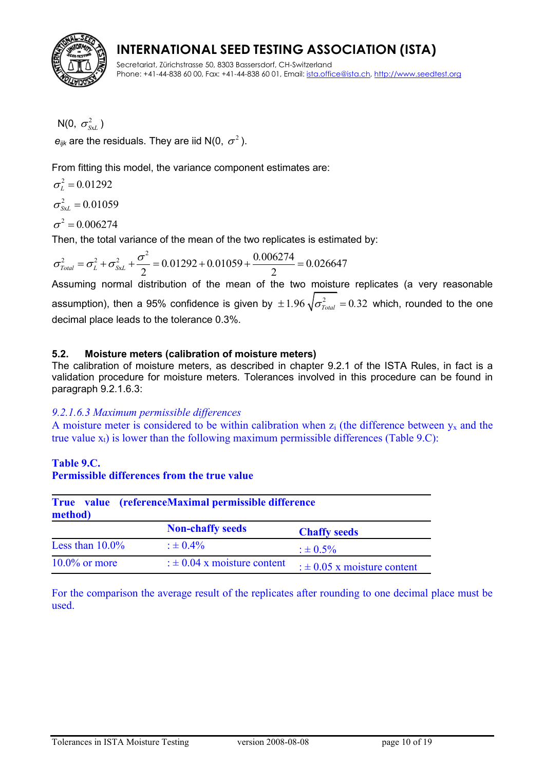

Secretariat, Zürichstrasse 50, 8303 Bassersdorf, CH-Switzerland Phone: +41-44-838 60 00, Fax: +41-44-838 60 01, Email: [ista.office@ista.ch,](mailto:ista@ista.ch) [http://www.seedtest.org](http://www.seedtest.org/)

 $N(0, \; \sigma_{\tiny \textit{SxL}}^{2})$  $\bm{e}_{ijk}$  are the residuals. They are iid N(0,  $\sigma^2$  ).

From fitting this model, the variance component estimates are:

 $\sigma_L^2 = 0.01292$ 

2  $\sigma_{SxL}^2 = 0.01059$ 

 $\sigma^2 = 0.006274$ 

$$
\sigma^2 = 0.006274
$$
  
Then, the total variance of the mean of the two replicates is estimated by:  

$$
\sigma_{\text{Total}}^2 = \sigma_L^2 + \sigma_{\text{Sx}L}^2 + \frac{\sigma^2}{2} = 0.01292 + 0.01059 + \frac{0.006274}{2} = 0.026647
$$
  
Assuming normal distribution of the mean of the two moisture.

Assuming normal distribution of the mean of the two moisture replicates (a very reasonable assumption), then a 95% confidence is given by  $\pm 1.96\, \sqrt{\sigma_{Total}^2}=0.32$  which, rounded to the one decimal place leads to the tolerance 0.3%.

#### **5.2. Moisture meters (calibration of moisture meters)**

The calibration of moisture meters, as described in chapter 9.2.1 of the ISTA Rules, in fact is a validation procedure for moisture meters. Tolerances involved in this procedure can be found in paragraph 9.2.1.6.3:

#### *9.2.1.6.3 Maximum permissible differences*

A moisture meter is considered to be within calibration when  $z_i$  (the difference between  $y_x$  and the true value  $x_t$ ) is lower than the following maximum permissible differences (Table 9.C):

#### **Table 9.C. Permissible differences from the true value**

| True value (referenceMaximal permissible difference<br>method) |                                 |                                 |  |
|----------------------------------------------------------------|---------------------------------|---------------------------------|--|
|                                                                | <b>Non-chaffy seeds</b>         | <b>Chaffy seeds</b>             |  |
| Less than $10.0\%$                                             | $: 6.4\%$                       | $\pm 0.5\%$                     |  |
| $10.0\%$ or more                                               | : $\pm$ 0.04 x moisture content | : $\pm$ 0.05 x moisture content |  |

For the comparison the average result of the replicates after rounding to one decimal place must be used.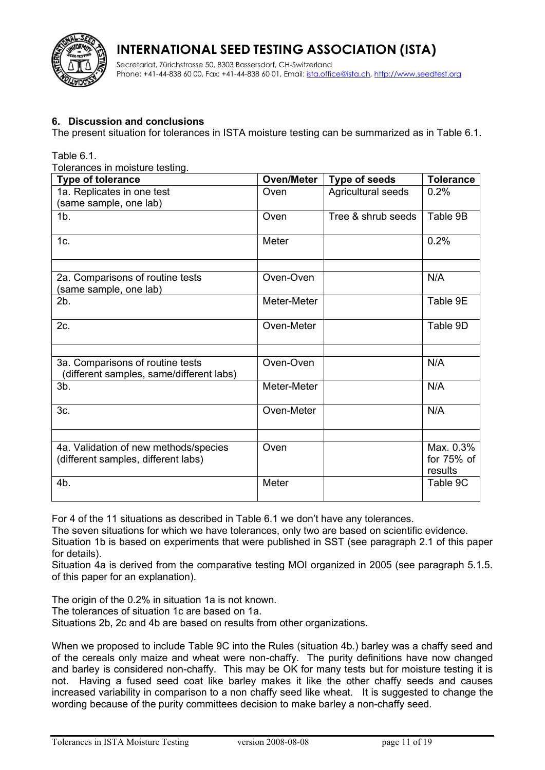

Secretariat, Zürichstrasse 50, 8303 Bassersdorf, CH-Switzerland Phone: +41-44-838 60 00, Fax: +41-44-838 60 01, Email: *ista.office@ista.ch, [http://www.seedtest.org](http://www.seedtest.org/)* 

#### **6. Discussion and conclusions**

The present situation for tolerances in ISTA moisture testing can be summarized as in Table 6.1.

Table 6.1.

Tolerances in moisture testing.

| Type of tolerance                                                            | <b>Oven/Meter</b> | <b>Type of seeds</b> | <b>Tolerance</b>                     |
|------------------------------------------------------------------------------|-------------------|----------------------|--------------------------------------|
| 1a. Replicates in one test<br>(same sample, one lab)                         | Oven              | Agricultural seeds   | 0.2%                                 |
| 1 <sub>b</sub>                                                               | Oven              | Tree & shrub seeds   | Table 9B                             |
| 1c.                                                                          | Meter             |                      | 0.2%                                 |
| 2a. Comparisons of routine tests<br>(same sample, one lab)                   | Oven-Oven         |                      | N/A                                  |
| 2b.                                                                          | Meter-Meter       |                      | Table 9E                             |
| 2c.                                                                          | Oven-Meter        |                      | Table 9D                             |
|                                                                              |                   |                      |                                      |
| 3a. Comparisons of routine tests<br>(different samples, same/different labs) | Oven-Oven         |                      | N/A                                  |
| $3b$ .                                                                       | Meter-Meter       |                      | N/A                                  |
| 3c.                                                                          | Oven-Meter        |                      | N/A                                  |
|                                                                              |                   |                      |                                      |
| 4a. Validation of new methods/species<br>(different samples, different labs) | Oven              |                      | Max. 0.3%<br>for $75%$ of<br>results |
| 4b.                                                                          | Meter             |                      | Table 9C                             |

For 4 of the 11 situations as described in Table 6.1 we don't have any tolerances.

The seven situations for which we have tolerances, only two are based on scientific evidence.

Situation 1b is based on experiments that were published in SST (see paragraph 2.1 of this paper for details).

Situation 4a is derived from the comparative testing MOI organized in 2005 (see paragraph 5.1.5. of this paper for an explanation).

The origin of the 0.2% in situation 1a is not known.

The tolerances of situation 1c are based on 1a.

Situations 2b, 2c and 4b are based on results from other organizations.

When we proposed to include Table 9C into the Rules (situation 4b.) barley was a chaffy seed and of the cereals only maize and wheat were non-chaffy. The purity definitions have now changed and barley is considered non-chaffy. This may be OK for many tests but for moisture testing it is not. Having a fused seed coat like barley makes it like the other chaffy seeds and causes increased variability in comparison to a non chaffy seed like wheat. It is suggested to change the wording because of the purity committees decision to make barley a non-chaffy seed.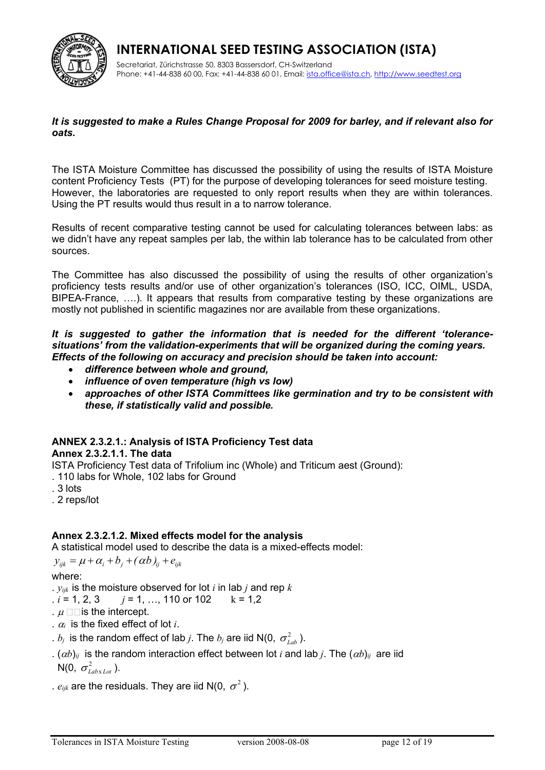

Secretariat, Zürichstrasse 50, 8303 Bassersdorf, CH-Switzerland Phone: +41-44-838 60 00, Fax: +41-44-838 60 01, Email: [ista.office@ista.ch,](mailto:ista@ista.ch) [http://www.seedtest.org](http://www.seedtest.org/)

#### *It is suggested to make a Rules Change Proposal for 2009 for barley, and if relevant also for oats.*

The ISTA Moisture Committee has discussed the possibility of using the results of ISTA Moisture content Proficiency Tests (PT) for the purpose of developing tolerances for seed moisture testing. However, the laboratories are requested to only report results when they are within tolerances. Using the PT results would thus result in a to narrow tolerance.

Results of recent comparative testing cannot be used for calculating tolerances between labs: as we didn't have any repeat samples per lab, the within lab tolerance has to be calculated from other sources.

The Committee has also discussed the possibility of using the results of other organization's proficiency tests results and/or use of other organization's tolerances (ISO, ICC, OIML, USDA, BIPEA-France, ….). It appears that results from comparative testing by these organizations are mostly not published in scientific magazines nor are available from these organizations.

#### *It is suggested to gather the information that is needed for the different 'tolerancesituations' from the validation-experiments that will be organized during the coming years. Effects of the following on accuracy and precision should be taken into account:*

- *difference between whole and ground,*
- *influence of oven temperature (high vs low)*
- *approaches of other ISTA Committees like germination and try to be consistent with these, if statistically valid and possible.*

## **ANNEX 2.3.2.1.: Analysis of ISTA Proficiency Test data**

#### **Annex 2.3.2.1.1. The data**

ISTA Proficiency Test data of Trifolium inc (Whole) and Triticum aest (Ground):

. 110 labs for Whole, 102 labs for Ground

- . 3 lots
- . 2 reps/lot

#### **Annex 2.3.2.1.2. Mixed effects model for the analysis**

A statistical model used to describe the data is a mixed-effects model:

 $y_{ijk} = \mu + \alpha_i + b_j + (\alpha b)_{ii} + e_{ijk}$ 

#### where:

.  $y_{ijk}$  is the moisture observed for lot *i* in lab *j* and rep  $k$ 

$$
i = 1, 2, 3
$$
  $j = 1, ..., 110$  or 102  $k = 1, 2$ 

- .  $\mu \Box \Box$  is the intercept.
- .  $\alpha_i$  is the fixed effect of lot *i*.
- .  $b_j$  is the random effect of lab *j*. The  $b_j$  are iid N(0,  $\sigma_{Lab}^2$ ).
- .  $(\alpha b)_{ij}$  is the random interaction effect between lot *i* and lab *j*. The  $(\alpha b)_{ij}$  are iid  $N(0, \sigma_{\text{Labx} \text{Lot}}^2)$ .
- .  $e_{ijk}$  are the residuals. They are iid N(0,  $\sigma^2$  ).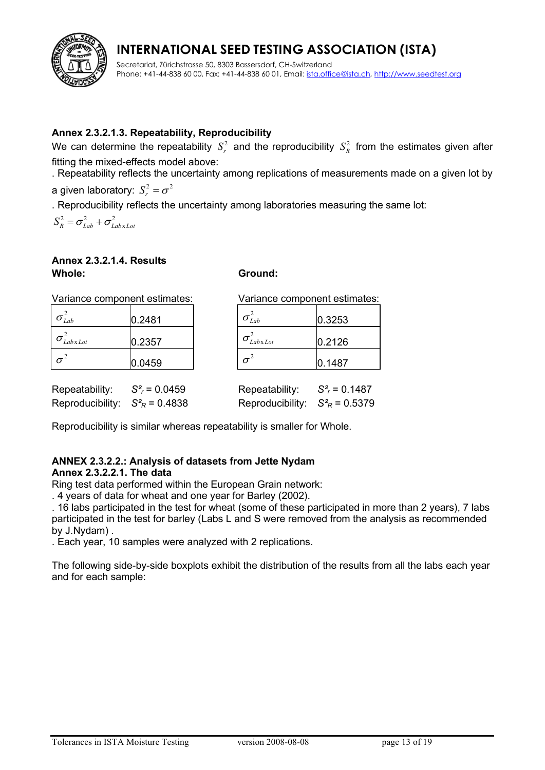

Secretariat, Zürichstrasse 50, 8303 Bassersdorf, CH-Switzerland Phone: +41-44-838 60 00, Fax: +41-44-838 60 01, Email: [ista.office@ista.ch,](mailto:ista@ista.ch) [http://www.seedtest.org](http://www.seedtest.org/)

### **Annex 2.3.2.1.3. Repeatability, Reproducibility**

We can determine the repeatability  $S_r^2$  and the reproducibility  $S_R^2$  from the estimates given after fitting the mixed-effects model above:

. Repeatability reflects the uncertainty among replications of measurements made on a given lot by

a given laboratory:  $S_r^2 = \sigma^2$  $S_r^2 = \sigma$ 

. Reproducibility reflects the uncertainty among laboratories measuring the same lot:

 $2 - 2$   $2^2$  $S_R^2 = \sigma_{Lab}^2 + \sigma_{LabxLot}^2$ 

#### **Annex 2.3.2.1.4. Results Whole: Ground:**

| Variance component estimates:           |        |                                          | Variance component estimates:   |  |  |
|-----------------------------------------|--------|------------------------------------------|---------------------------------|--|--|
| $\sigma_{Lab}^2$                        | 0.2481 | $\sigma_{Lab}^2$                         | 0.3253                          |  |  |
| $\sigma_{\textit{Labx} \textit{Lot}}^2$ | 0.2357 | $\sigma$ <sub>Lab</sub> x <sub>Lot</sub> | 0.2126                          |  |  |
| $\sigma^2$                              | 0.0459 | $\sigma^2$                               | 0.1487                          |  |  |
| Repeatability: $S_r^2 = 0.0459$         |        |                                          | Repeatability: $S_r^2 = 0.1487$ |  |  |

Reproducibility is similar whereas repeatability is smaller for Whole.

Reproducibility:  $S^2_R = 0.4838$  Reproducibility:  $S^2_R = 0.5379$ 

## **ANNEX 2.3.2.2.: Analysis of datasets from Jette Nydam**

#### **Annex 2.3.2.2.1. The data**

Ring test data performed within the European Grain network:

. 4 years of data for wheat and one year for Barley (2002).

. 16 labs participated in the test for wheat (some of these participated in more than 2 years), 7 labs participated in the test for barley (Labs L and S were removed from the analysis as recommended by J.Nydam) .

. Each year, 10 samples were analyzed with 2 replications.

The following side-by-side boxplots exhibit the distribution of the results from all the labs each year and for each sample: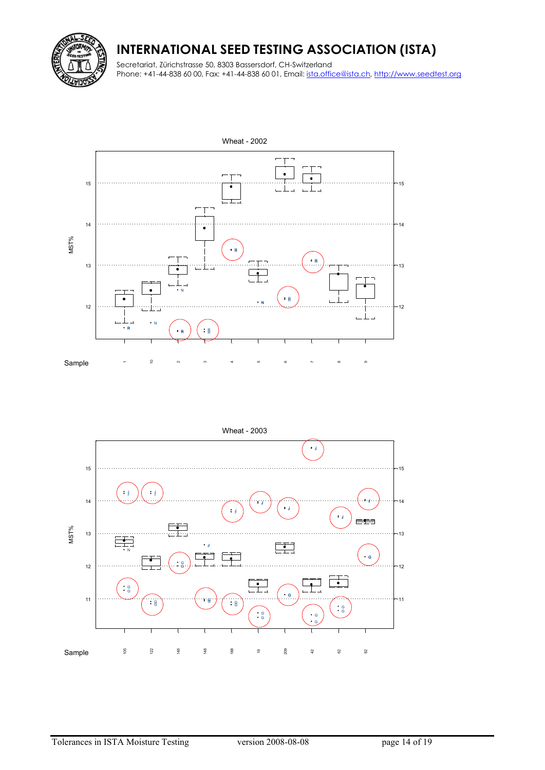

Secretariat, Zürichstrasse 50, 8303 Bassersdorf, CH-Switzerland Phone: +41-44-838 60 00, Fax: +41-44-838 60 01, Email: [ista.office@ista.ch,](mailto:ista@ista.ch) [http://www.seedtest.org](http://www.seedtest.org/)



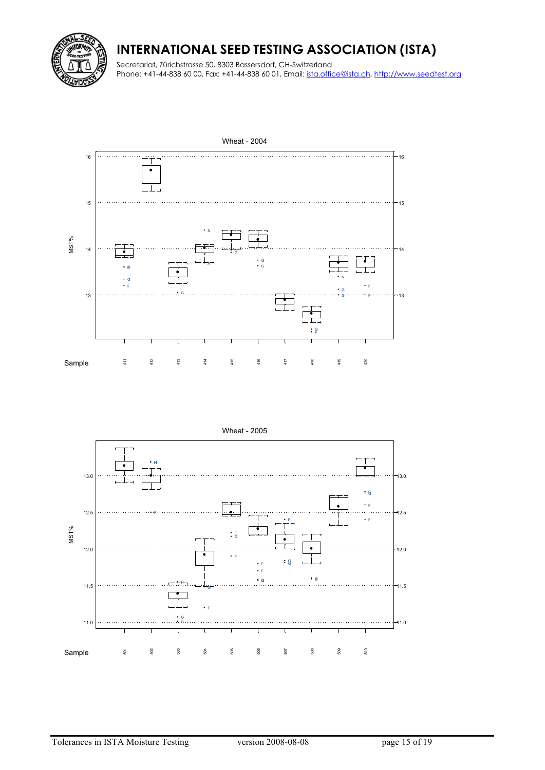

Secretariat, Zürichstrasse 50, 8303 Bassersdorf, CH-Switzerland Phone: +41-44-838 60 00, Fax: +41-44-838 60 01, Email: [ista.office@ista.ch,](mailto:ista@ista.ch) [http://www.seedtest.org](http://www.seedtest.org/)



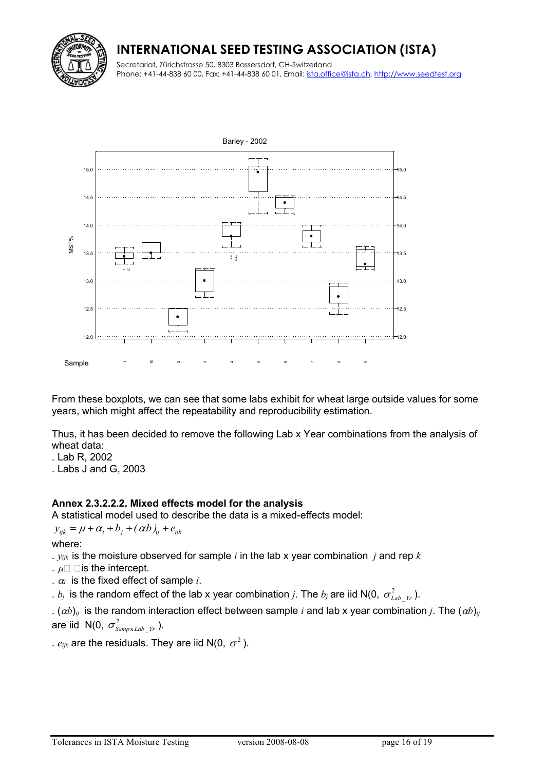Secretariat, Zürichstrasse 50, 8303 Bassersdorf, CH-Switzerland Phone: +41-44-838 60 00, Fax: +41-44-838 60 01, Email: [ista.office@ista.ch,](mailto:ista@ista.ch) [http://www.seedtest.org](http://www.seedtest.org/)



From these boxplots, we can see that some labs exhibit for wheat large outside values for some years, which might affect the repeatability and reproducibility estimation.

Thus, it has been decided to remove the following Lab x Year combinations from the analysis of wheat data:

- . Lab R, 2002
- . Labs J and G, 2003

#### **Annex 2.3.2.2.2. Mixed effects model for the analysis**

A statistical model used to describe the data is a mixed-effects model:

 $y_{ijk} = \mu + \alpha_i + b_j + (\alpha b)_{ij} + e_{ijk}$ 

where:

.  $y_{ijk}$  is the moisture observed for sample *i* in the lab x year combination *j* and rep *k* 

- .  $\mu \Box$   $\Box$  is the intercept.
- .  $\alpha_i$  is the fixed effect of sample *i*.
- .  $b_j$  is the random effect of the lab x year combination  $j.$  The  $b_j$  are iid N(0,  $\sigma^2_{Lab-Yr}$  ).

.  $(\alpha b)_{ii}$  is the random interaction effect between sample *i* and lab x year combination *j*. The  $(\alpha b)_{ij}$ are iid  $N(0, \sigma_{SampxLab Yr}^2)$ .

.  $e_{ijk}$  are the residuals. They are iid N(0,  $\sigma^2$  ).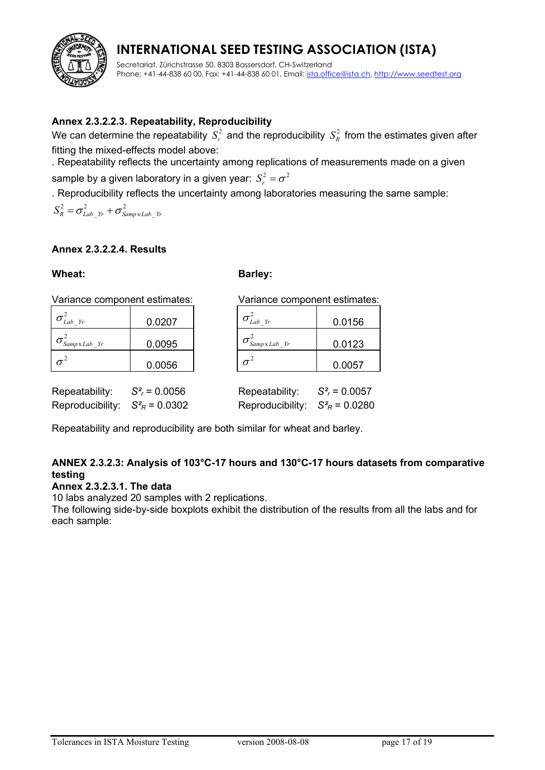Secretariat, Zürichstrasse 50, 8303 Bassersdorf, CH-Switzerland Phone: +41-44-838 60 00, Fax: +41-44-838 60 01, Email: [ista.office@ista.ch,](mailto:ista@ista.ch) [http://www.seedtest.org](http://www.seedtest.org/)

### **Annex 2.3.2.2.3. Repeatability, Reproducibility**

We can determine the repeatability  $\,S^2_r \,$  and the reproducibility  $\,S^2_R \,$  from the estimates given after fitting the mixed-effects model above:

. Repeatability reflects the uncertainty among replications of measurements made on a given

sample by a given laboratory in a given year:  $S^2 = \sigma^2$  $S_r^2 = \sigma$ 

. Reproducibility reflects the uncertainty among laboratories measuring the same sample:

 $2 - \sigma^2$  +  $\sigma^2$  $S_R^2 = \sigma_{Lab_Yr}^2 + \sigma_{Samp xLab_Yr}^2$ 

#### **Annex 2.3.2.2.4. Results**

#### Wheat: Barley:

| $\sigma_{\textit{Lab\_Yr}}^-$         | 0.0207 |
|---------------------------------------|--------|
| $\sigma_{\textit{SampxLab\_Yr}}^{-1}$ | 0.0095 |
|                                       | 0.0056 |

Variance component estimates: Variance component estimates:

| $\sigma_{Lab\ Yr}^2$                                     | 0.0156 |
|----------------------------------------------------------|--------|
| $\sigma_{\textit{SampxLab\_Yr}}^{\textit{SampxLab\_Yr}}$ | 0.0123 |
|                                                          | 0.0057 |

Repeatability:  $S_r^2 = 0.0057$ 

| Repeatability:   | $S^2 = 0.0056$       |
|------------------|----------------------|
| Reproducibility: | $S_{R}^{2} = 0.0302$ |

Reproducibility:  $S^2_R = 0.0280$ Repeatability and reproducibility are both similar for wheat and barley.

### **ANNEX 2.3.2.3: Analysis of 103°C-17 hours and 130°C-17 hours datasets from comparative testing**

#### **Annex 2.3.2.3.1. The data**

10 labs analyzed 20 samples with 2 replications.

The following side-by-side boxplots exhibit the distribution of the results from all the labs and for each sample: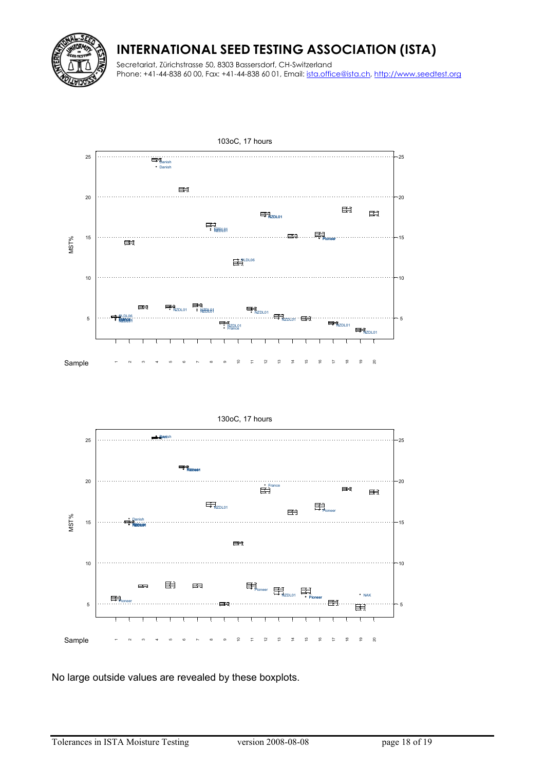

Secretariat, Zürichstrasse 50, 8303 Bassersdorf, CH-Switzerland Phone: +41-44-838 60 00, Fax: +41-44-838 60 01, Email: [ista.office@ista.ch,](mailto:ista@ista.ch) [http://www.seedtest.org](http://www.seedtest.org/)





No large outside values are revealed by these boxplots.